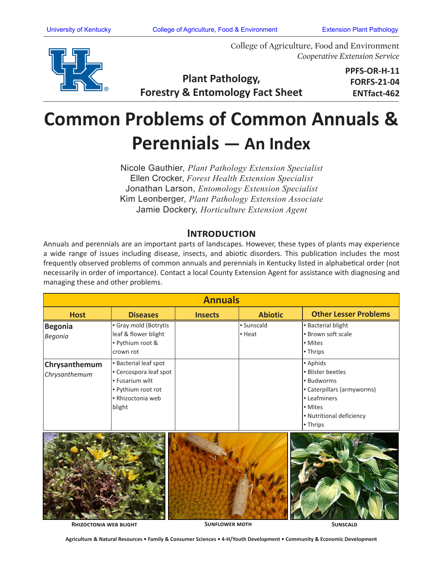

College of Agriculture, Food and Environment *Cooperative Extension Service*

## **Plant Pathology, Forestry & Entomology Fact Sheet**

**PPFS-OR-H-11 FORFS-21-04 ENTfact-462**

# **Common Problems of Common Annuals & Perennials — An Index**

Nicole Gauthier, *Plant Pathology Extension Specialist*  Ellen Crocker, *Forest Health Extension Specialist* Jonathan Larson, *Entomology Extension Specialist* Kim Leonberger, *Plant Pathology Extension Associate* Jamie Dockery, *Horticulture Extension Agent*

#### **Introduction**

Annuals and perennials are an important parts of landscapes. However, these types of plants may experience a wide range of issues including disease, insects, and abiotic disorders. This publication includes the most frequently observed problems of common annuals and perennials in Kentucky listed in alphabetical order (not necessarily in order of importance). Contact a local County Extension Agent for assistance with diagnosing and managing these and other problems.

| <b>Annuals</b>                 |                                                                                                                            |                |                                   |                                                                                                                                                      |  |  |  |  |
|--------------------------------|----------------------------------------------------------------------------------------------------------------------------|----------------|-----------------------------------|------------------------------------------------------------------------------------------------------------------------------------------------------|--|--|--|--|
| <b>Host</b>                    | <b>Diseases</b>                                                                                                            | <b>Insects</b> | <b>Abiotic</b>                    | <b>Other Lesser Problems</b>                                                                                                                         |  |  |  |  |
| <b>Begonia</b><br>Begonia      | Gray mold (Botrytis<br>leaf & flower blight<br>- Pythium root &<br>crown rot                                               |                | · Sunscald<br>$\blacksquare$ Heat | <b>Bacterial blight</b><br>. Brown soft scale<br>• Mites<br>- Thrips                                                                                 |  |  |  |  |
| Chrysanthemum<br>Chrysanthemum | <b>Bacterial leaf spot</b><br>- Cercospora leaf spot<br>- Fusarium wilt<br>Pythium root rot<br>- Rhizoctonia web<br>blight |                |                                   | - Aphids<br><b>Blister beetles</b><br><b>Budworms</b><br>Caterpillars (armyworms)<br>- Leafminers<br>• Mites<br>- Nutritional deficiency<br>- Thrips |  |  |  |  |



**RHIZOCTONIA WEB BLIGHT** 

**SUNFLOWER MOTH SUNSCALD** 

**Agriculture & Natural Resources • Family & Consumer Sciences • 4-H/Youth Development • Community & Economic Development**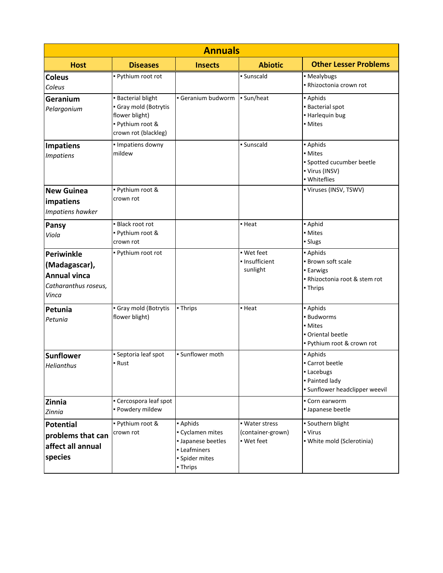| <b>Annuals</b>                                                                             |                                                                                                              |                                                                                                |                                                   |                                                                                               |  |  |  |  |
|--------------------------------------------------------------------------------------------|--------------------------------------------------------------------------------------------------------------|------------------------------------------------------------------------------------------------|---------------------------------------------------|-----------------------------------------------------------------------------------------------|--|--|--|--|
| <b>Host</b>                                                                                | <b>Diseases</b>                                                                                              | <b>Insects</b>                                                                                 | <b>Abiotic</b>                                    | <b>Other Lesser Problems</b>                                                                  |  |  |  |  |
| <b>Coleus</b><br>Coleus                                                                    | - Pythium root rot                                                                                           |                                                                                                | · Sunscald                                        | · Mealybugs<br>- Rhizoctonia crown rot                                                        |  |  |  |  |
| Geranium<br>Pelargonium                                                                    | <b>Bacterial blight</b><br>Gray mold (Botrytis<br>flower blight)<br>- Pythium root &<br>crown rot (blackleg) | Geranium budworm                                                                               | - Sun/heat                                        | - Aphids<br><b>Bacterial spot</b><br>- Harlequin bug<br>• Mites                               |  |  |  |  |
| <b>Impatiens</b><br><b>Impatiens</b>                                                       | · Impatiens downy<br>mildew                                                                                  |                                                                                                | · Sunscald                                        | - Aphids<br>• Mites<br>· Spotted cucumber beetle<br>• Virus (INSV)<br>· Whiteflies            |  |  |  |  |
| <b>New Guinea</b><br>impatiens<br>Impatiens hawker                                         | · Pythium root &<br>crown rot                                                                                |                                                                                                |                                                   | • Viruses (INSV, TSWV)                                                                        |  |  |  |  |
| <b>Pansy</b><br>Viola                                                                      | • Black root rot<br>· Pythium root &<br>crown rot                                                            |                                                                                                | • Heat                                            | - Aphid<br>• Mites<br>• Slugs                                                                 |  |  |  |  |
| <b>Periwinkle</b><br>(Madagascar),<br><b>Annual vinca</b><br>Catharanthus roseus,<br>Vinca | - Pythium root rot                                                                                           |                                                                                                | · Wet feet<br>· Insufficient<br>sunlight          | - Aphids<br>· Brown soft scale<br>- Earwigs<br>- Rhizoctonia root & stem rot<br>• Thrips      |  |  |  |  |
| Petunia<br>Petunia                                                                         | Gray mold (Botrytis<br>flower blight)                                                                        | - Thrips                                                                                       | • Heat                                            | - Aphids<br>· Budworms<br>• Mites<br>Oriental beetle<br>. Pythium root & crown rot            |  |  |  |  |
| <b>Sunflower</b><br>Helianthus                                                             | · Septoria leaf spot<br>• Rust                                                                               | · Sunflower moth                                                                               |                                                   | - Aphids<br>• Carrot beetle<br>- Lacebugs<br>- Painted lady<br>· Sunflower headclipper weevil |  |  |  |  |
| Zinnia<br>Zinnia                                                                           | • Cercospora leaf spot<br>· Powdery mildew                                                                   |                                                                                                |                                                   | • Corn earworm<br>· Japanese beetle                                                           |  |  |  |  |
| <b>Potential</b><br>problems that can<br>affect all annual<br>species                      | · Pythium root &<br>crown rot                                                                                | - Aphids<br>Cyclamen mites<br>· Japanese beetles<br>- Leafminers<br>· Spider mites<br>- Thrips | • Water stress<br>(container-grown)<br>· Wet feet | · Southern blight<br>- Virus<br>· White mold (Sclerotinia)                                    |  |  |  |  |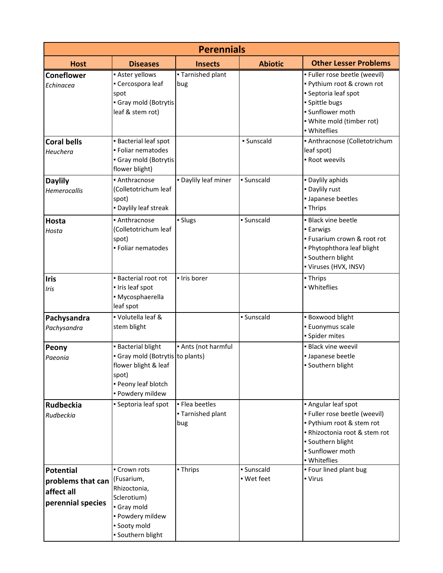| <b>Perennials</b>                                                        |                                                                                                                                       |                                            |                          |                                                                                                                                                                             |  |  |  |  |
|--------------------------------------------------------------------------|---------------------------------------------------------------------------------------------------------------------------------------|--------------------------------------------|--------------------------|-----------------------------------------------------------------------------------------------------------------------------------------------------------------------------|--|--|--|--|
| <b>Host</b>                                                              | <b>Diseases</b>                                                                                                                       | <b>Insects</b>                             | <b>Abiotic</b>           | <b>Other Lesser Problems</b>                                                                                                                                                |  |  |  |  |
| <b>Coneflower</b><br>Echinacea                                           | - Aster yellows<br>• Cercospora leaf<br>spot<br>Gray mold (Botrytis<br>leaf & stem rot)                                               | • Tarnished plant<br>bug                   |                          | · Fuller rose beetle (weevil)<br>. Pythium root & crown rot<br>• Septoria leaf spot<br>· Spittle bugs<br>· Sunflower moth<br>• White mold (timber rot)<br>· Whiteflies      |  |  |  |  |
| <b>Coral bells</b><br>Heuchera                                           | <b>Bacterial leaf spot</b><br>· Foliar nematodes<br>Gray mold (Botrytis<br>flower blight)                                             |                                            | · Sunscald               | · Anthracnose (Colletotrichum<br>leaf spot)<br>- Root weevils                                                                                                               |  |  |  |  |
| <b>Daylily</b><br>Hemerocallis                                           | · Anthracnose<br>(Colletotrichum leaf<br>spot)<br>. Daylily leaf streak                                                               | . Daylily leaf miner                       | · Sunscald               | . Daylily aphids<br>- Daylily rust<br>· Japanese beetles<br>- Thrips                                                                                                        |  |  |  |  |
| Hosta<br>Hosta                                                           | • Anthracnose<br>(Colletotrichum leaf<br>spot)<br>· Foliar nematodes                                                                  | · Slugs                                    | · Sunscald               | · Black vine beetle<br><b>- Earwigs</b><br>- Fusarium crown & root rot<br>. Phytophthora leaf blight<br>· Southern blight<br>• Viruses (HVX, INSV)                          |  |  |  |  |
| <b>Iris</b><br>Iris                                                      | <b>Bacterial root rot</b><br>· Iris leaf spot<br>• Mycosphaerella<br>leaf spot                                                        | - Iris borer                               |                          | - Thrips<br>• Whiteflies                                                                                                                                                    |  |  |  |  |
| Pachysandra<br>Pachysandra                                               | • Volutella leaf &<br>stem blight                                                                                                     |                                            | · Sunscald               | · Boxwood blight<br><b>Euonymus scale</b><br>· Spider mites                                                                                                                 |  |  |  |  |
| Peony<br>Paeonia                                                         | <b>Bacterial blight</b><br>Gray mold (Botrytis to plants)<br>flower blight & leaf<br>spot)<br>· Peony leaf blotch<br>· Powdery mildew | • Ants (not harmful                        |                          | · Black vine weevil<br>· Japanese beetle<br>· Southern blight                                                                                                               |  |  |  |  |
| <b>Rudbeckia</b><br>Rudbeckia                                            | • Septoria leaf spot                                                                                                                  | • Flea beetles<br>• Tarnished plant<br>bug |                          | • Angular leaf spot<br>· Fuller rose beetle (weevil)<br>. Pythium root & stem rot<br>- Rhizoctonia root & stem rot<br>· Southern blight<br>· Sunflower moth<br>• Whiteflies |  |  |  |  |
| <b>Potential</b><br>problems that can<br>affect all<br>perennial species | Crown rots<br>(Fusarium,<br>Rhizoctonia,<br>Sclerotium)<br>Gray mold<br>· Powdery mildew<br>· Sooty mold<br>· Southern blight         | - Thrips                                   | · Sunscald<br>• Wet feet | . Four lined plant bug<br>• Virus                                                                                                                                           |  |  |  |  |